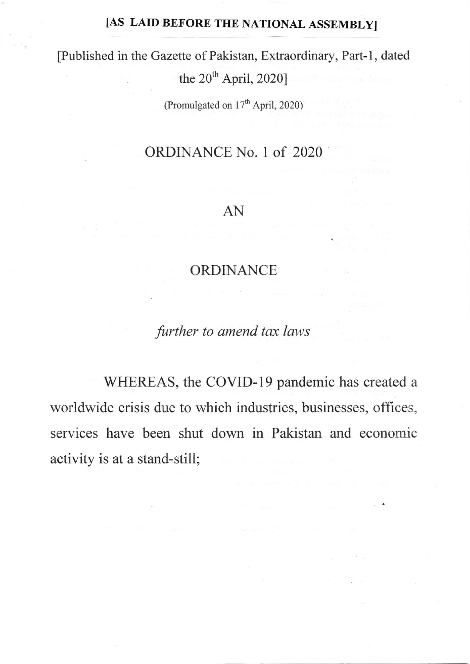## [AS LAID BEFORE THE NATIONAL ASSEMBLY]

[Published in the Gazette of Pakistan, Extraordinary, Part-1, dated

the  $20^{th}$  April, 2020]

(Promulgated on 17'h April, 2020)

## ORDINANCE No. I of 2020

## AN

## ORDINANCE

.further to amend tax laws

WHEREAS, the COVID-19 pandemic has created a worldwide crisis due to which industries, businesses, offices, services have been shut down in Pakistan and economic activity is at a stand-still;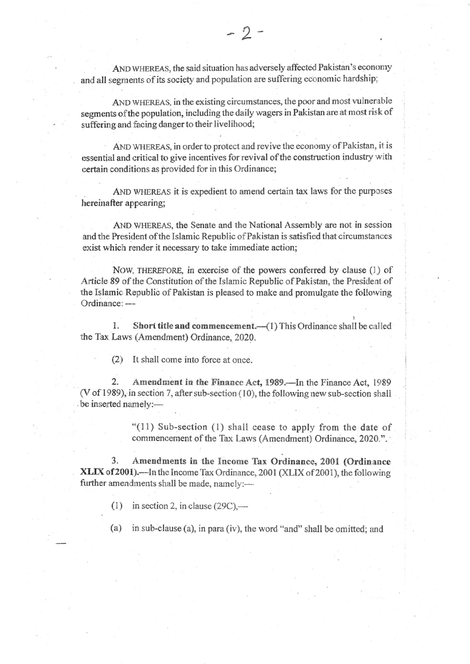AND VHEREAS, the said situation has adversely affected Pakistan's economy and all segments of its society and population are suffering economic hardship:

AND WHEREAS, in the existing circumstances, the poor and most vulnerable segments ofthe population, including the daily wagers in Pakistan are at most risk of suffering and facing danger to their livelihood;

AND WHEREAS, in order to protect and revive the economy of Pakistan, it is essential and critical to give incentives for revival of the construction industry with certain conditions as provided for in this Ordinance;

AND WHEREAS it is expedient to amend certain tax laws for the purposes hereinafter appearing;

AND WHEREAS, the Senate and the National Assembly are not in session and the President of the Islamic Republic of Pakistan is satisfied that circumstances exist which render it necessary to take immediate action;

NOW, THEREFORE, in exercise of the powers conferred by clause (1) of Article 89 of the Constitution of the Islamic Republic of Pakistan, the President of the Islamic Republic of Pakistan is pleased to make and promulgate the following Ordinance: -

1. Short title and commencement.  $-(1)$  This Ordinance shall be called the Tax Laws (Amendment) Ordinance, 2020.

(2) It shall come into force at once.

2. Amendment in the Finance Act, 1989.—In the Finance Act, 1989  $(V of 1989)$ , in section 7, after sub-section (10), the following new sub-section shall be inserted namely:-

> "(11) Sub-section (l) shall eease to apply from the date of commencement of the Tax Laws (Amendment) Ordinance, 2020.".

3. Amendments in the Income Tax Ordinance, 2001 (Ordinance XLIX of 2001).—In the Income Tax Ordinance, 2001 (XLIX of 2001), the following further amendments shall be made, namely:-

(1) in section 2, in clause  $(29C)$ ,—

(a) in sub-clause (a), in para (iv), the word "and" shall be omitted; and